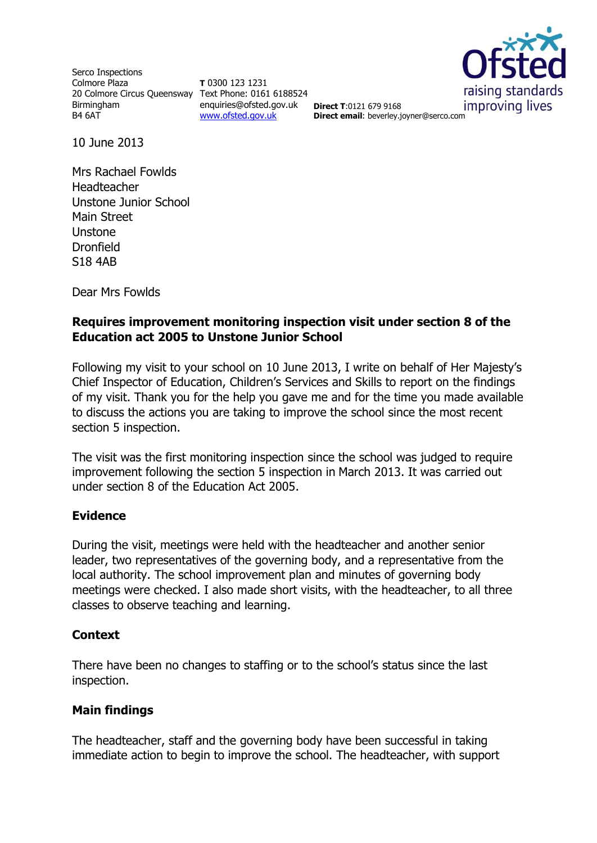Serco Inspections Colmore Plaza 20 Colmore Circus Queensway Text Phone: 0161 6188524 Birmingham B4 6AT

**T** 0300 123 1231 enquiries@ofsted.gov.uk [www.ofsted.gov.uk](http://www.ofsted.gov.uk/)



**Direct T**:0121 679 9168 **Direct email**: beverley.joyner@serco.com

10 June 2013

Mrs Rachael Fowlds Headteacher Unstone Junior School Main Street Unstone Dronfield S18 4AB

Dear Mrs Fowlds

## **Requires improvement monitoring inspection visit under section 8 of the Education act 2005 to Unstone Junior School**

Following my visit to your school on 10 June 2013, I write on behalf of Her Majesty's Chief Inspector of Education, Children's Services and Skills to report on the findings of my visit. Thank you for the help you gave me and for the time you made available to discuss the actions you are taking to improve the school since the most recent section 5 inspection.

The visit was the first monitoring inspection since the school was judged to require improvement following the section 5 inspection in March 2013. It was carried out under section 8 of the Education Act 2005.

## **Evidence**

During the visit, meetings were held with the headteacher and another senior leader, two representatives of the governing body, and a representative from the local authority. The school improvement plan and minutes of governing body meetings were checked. I also made short visits, with the headteacher, to all three classes to observe teaching and learning.

## **Context**

There have been no changes to staffing or to the school's status since the last inspection.

## **Main findings**

The headteacher, staff and the governing body have been successful in taking immediate action to begin to improve the school. The headteacher, with support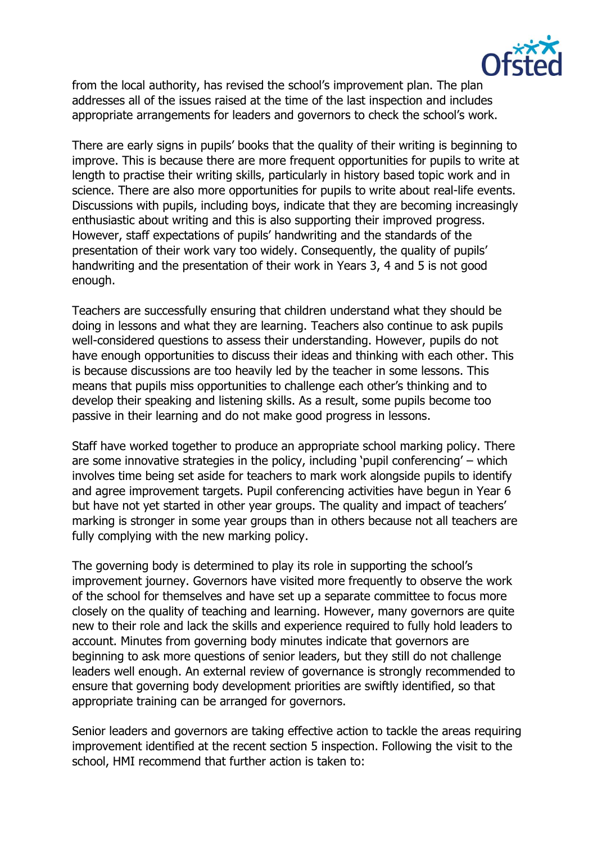

from the local authority, has revised the school's improvement plan. The plan addresses all of the issues raised at the time of the last inspection and includes appropriate arrangements for leaders and governors to check the school's work.

There are early signs in pupils' books that the quality of their writing is beginning to improve. This is because there are more frequent opportunities for pupils to write at length to practise their writing skills, particularly in history based topic work and in science. There are also more opportunities for pupils to write about real-life events. Discussions with pupils, including boys, indicate that they are becoming increasingly enthusiastic about writing and this is also supporting their improved progress. However, staff expectations of pupils' handwriting and the standards of the presentation of their work vary too widely. Consequently, the quality of pupils' handwriting and the presentation of their work in Years 3, 4 and 5 is not good enough.

Teachers are successfully ensuring that children understand what they should be doing in lessons and what they are learning. Teachers also continue to ask pupils well-considered questions to assess their understanding. However, pupils do not have enough opportunities to discuss their ideas and thinking with each other. This is because discussions are too heavily led by the teacher in some lessons. This means that pupils miss opportunities to challenge each other's thinking and to develop their speaking and listening skills. As a result, some pupils become too passive in their learning and do not make good progress in lessons.

Staff have worked together to produce an appropriate school marking policy. There are some innovative strategies in the policy, including 'pupil conferencing' – which involves time being set aside for teachers to mark work alongside pupils to identify and agree improvement targets. Pupil conferencing activities have begun in Year 6 but have not yet started in other year groups. The quality and impact of teachers' marking is stronger in some year groups than in others because not all teachers are fully complying with the new marking policy.

The governing body is determined to play its role in supporting the school's improvement journey. Governors have visited more frequently to observe the work of the school for themselves and have set up a separate committee to focus more closely on the quality of teaching and learning. However, many governors are quite new to their role and lack the skills and experience required to fully hold leaders to account. Minutes from governing body minutes indicate that governors are beginning to ask more questions of senior leaders, but they still do not challenge leaders well enough. An external review of governance is strongly recommended to ensure that governing body development priorities are swiftly identified, so that appropriate training can be arranged for governors.

Senior leaders and governors are taking effective action to tackle the areas requiring improvement identified at the recent section 5 inspection. Following the visit to the school, HMI recommend that further action is taken to: